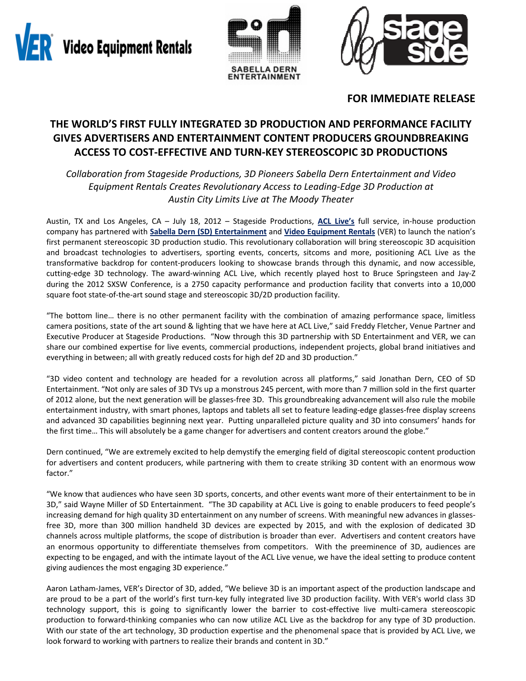Video Equipment Rentals





# **FOR IMMEDIATE RELEASE**

# **THE WORLD'S FIRST FULLY INTEGRATED 3D PRODUCTION AND PERFORMANCE FACILITY GIVES ADVERTISERS AND ENTERTAINMENT CONTENT PRODUCERS GROUNDBREAKING ACCESS TO COST‐EFFECTIVE AND TURN‐KEY STEREOSCOPIC 3D PRODUCTIONS**

*Collaboration from Stageside Productions, 3D Pioneers Sabella Dern Entertainment and Video Equipment Rentals Creates Revolutionary Access to Leading‐Edge 3D Production at Austin City Limits Live at The Moody Theater*

Austin, TX and Los Angeles, CA – July 18, 2012 – Stageside Productions, **ACL Live's** full service, in‐house production company has partnered with **Sabella Dern (SD) Entertainment** and **Video Equipment Rentals** (VER) to launch the nation's first permanent stereoscopic 3D production studio. This revolutionary collaboration will bring stereoscopic 3D acquisition and broadcast technologies to advertisers, sporting events, concerts, sitcoms and more, positioning ACL Live as the transformative backdrop for content‐producers looking to showcase brands through this dynamic, and now accessible, cutting-edge 3D technology. The award-winning ACL Live, which recently played host to Bruce Springsteen and Jay-Z during the 2012 SXSW Conference, is a 2750 capacity performance and production facility that converts into a 10,000 square foot state-of-the-art sound stage and stereoscopic 3D/2D production facility.

"The bottom line… there is no other permanent facility with the combination of amazing performance space, limitless camera positions, state of the art sound & lighting that we have here at ACL Live," said Freddy Fletcher, Venue Partner and Executive Producer at Stageside Productions. "Now through this 3D partnership with SD Entertainment and VER, we can share our combined expertise for live events, commercial productions, independent projects, global brand initiatives and everything in between; all with greatly reduced costs for high def 2D and 3D production."

"3D video content and technology are headed for a revolution across all platforms," said Jonathan Dern, CEO of SD Entertainment. "Not only are sales of 3D TVs up a monstrous 245 percent, with more than 7 million sold in the first quarter of 2012 alone, but the next generation will be glasses‐free 3D. This groundbreaking advancement will also rule the mobile entertainment industry, with smart phones, laptops and tablets all set to feature leading‐edge glasses‐free display screens and advanced 3D capabilities beginning next year. Putting unparalleled picture quality and 3D into consumers' hands for the first time… This will absolutely be a game changer for advertisers and content creators around the globe."

Dern continued, "We are extremely excited to help demystify the emerging field of digital stereoscopic content production for advertisers and content producers, while partnering with them to create striking 3D content with an enormous wow factor."

"We know that audiences who have seen 3D sports, concerts, and other events want more of their entertainment to be in 3D," said Wayne Miller of SD Entertainment. "The 3D capability at ACL Live is going to enable producers to feed people's increasing demand for high quality 3D entertainment on any number of screens. With meaningful new advances in glasses‐ free 3D, more than 300 million handheld 3D devices are expected by 2015, and with the explosion of dedicated 3D channels across multiple platforms, the scope of distribution is broader than ever. Advertisers and content creators have an enormous opportunity to differentiate themselves from competitors. With the preeminence of 3D, audiences are expecting to be engaged, and with the intimate layout of the ACL Live venue, we have the ideal setting to produce content giving audiences the most engaging 3D experience."

Aaron Latham‐James, VER's Director of 3D, added, "We believe 3D is an important aspect of the production landscape and are proud to be a part of the world's first turn‐key fully integrated live 3D production facility. With VER's world class 3D technology support, this is going to significantly lower the barrier to cost-effective live multi-camera stereoscopic production to forward‐thinking companies who can now utilize ACL Live as the backdrop for any type of 3D production. With our state of the art technology, 3D production expertise and the phenomenal space that is provided by ACL Live, we look forward to working with partners to realize their brands and content in 3D."